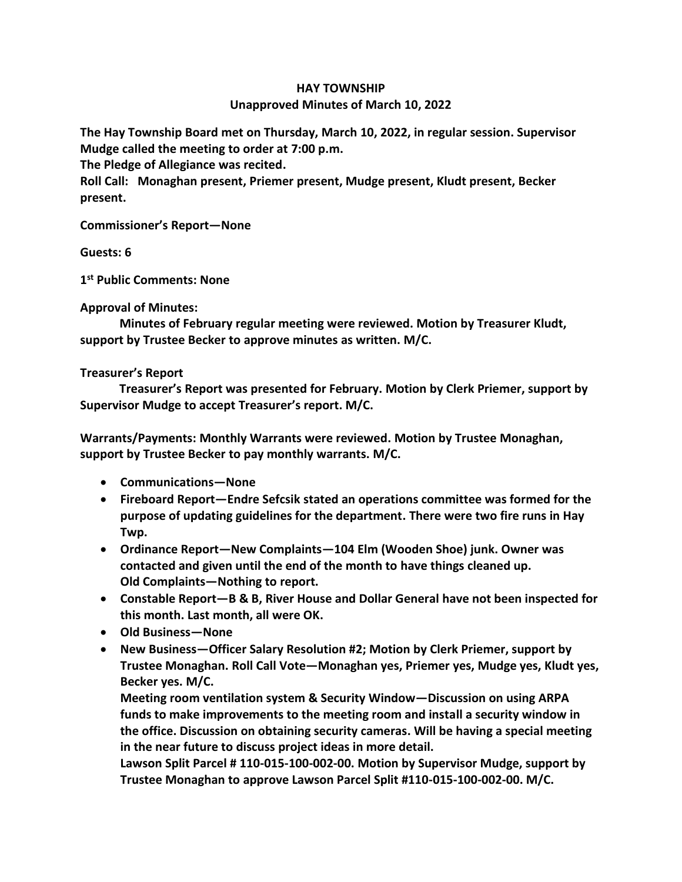## **HAY TOWNSHIP Unapproved Minutes of March 10, 2022**

**The Hay Township Board met on Thursday, March 10, 2022, in regular session. Supervisor Mudge called the meeting to order at 7:00 p.m.** 

**The Pledge of Allegiance was recited.** 

**Roll Call: Monaghan present, Priemer present, Mudge present, Kludt present, Becker present.**

**Commissioner's Report—None**

**Guests: 6**

**1 st Public Comments: None**

**Approval of Minutes:**

 **Minutes of February regular meeting were reviewed. Motion by Treasurer Kludt, support by Trustee Becker to approve minutes as written. M/C.**

## **Treasurer's Report**

 **Treasurer's Report was presented for February. Motion by Clerk Priemer, support by Supervisor Mudge to accept Treasurer's report. M/C.**

**Warrants/Payments: Monthly Warrants were reviewed. Motion by Trustee Monaghan, support by Trustee Becker to pay monthly warrants. M/C.**

- **Communications—None**
- **Fireboard Report—Endre Sefcsik stated an operations committee was formed for the purpose of updating guidelines for the department. There were two fire runs in Hay Twp.**
- **Ordinance Report—New Complaints—104 Elm (Wooden Shoe) junk. Owner was contacted and given until the end of the month to have things cleaned up. Old Complaints—Nothing to report.**
- **Constable Report—B & B, River House and Dollar General have not been inspected for this month. Last month, all were OK.**
- **Old Business—None**
- **New Business—Officer Salary Resolution #2; Motion by Clerk Priemer, support by Trustee Monaghan. Roll Call Vote—Monaghan yes, Priemer yes, Mudge yes, Kludt yes, Becker yes. M/C.**

**Meeting room ventilation system & Security Window—Discussion on using ARPA funds to make improvements to the meeting room and install a security window in the office. Discussion on obtaining security cameras. Will be having a special meeting in the near future to discuss project ideas in more detail.** 

**Lawson Split Parcel # 110-015-100-002-00. Motion by Supervisor Mudge, support by Trustee Monaghan to approve Lawson Parcel Split #110-015-100-002-00. M/C.**